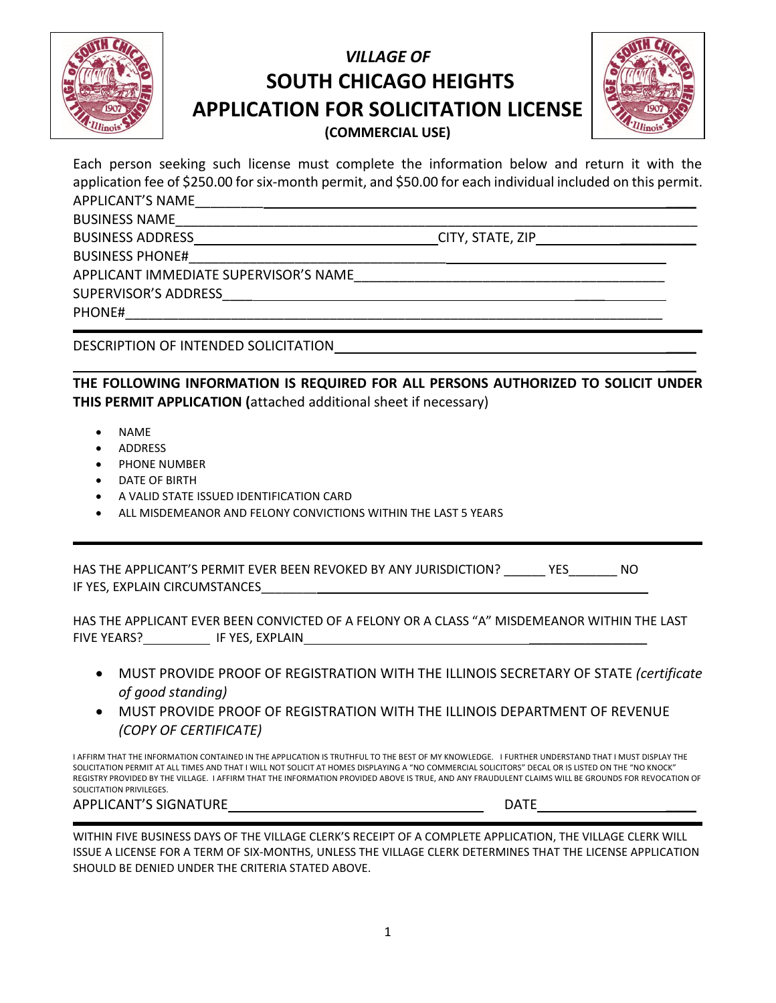

## *VILLAGE OF* **SOUTH CHICAGO HEIGHTS APPLICATION FOR SOLICITATION LICENSE (COMMERCIAL USE)**



 $\mathcal{L}$ 

Each person seeking such license must complete the information below and return it with the application fee of \$250.00 for six-month permit, and \$50.00 for each individual included on this permit. APPLICANT'S NAME \_\_\_\_\_\_\_\_\_\_\_\_

BUSINESS NAME

BUSINESS ADDRESS CITY, STATE, ZIP

BUSINESS PHONE#

APPLICANT IMMEDIATE SUPERVISOR'S NAME

SUPERVISOR'S ADDRESS\_\_\_\_ \_\_\_\_

PHONE#

DESCRIPTION OF INTENDED SOLICITATION \_\_\_\_

**THE FOLLOWING INFORMATION IS REQUIRED FOR ALL PERSONS AUTHORIZED TO SOLICIT UNDER THIS PERMIT APPLICATION (**attached additional sheet if necessary)

- NAME
- ADDRESS
- PHONE NUMBER
- DATE OF BIRTH
- A VALID STATE ISSUED IDENTIFICATION CARD
- ALL MISDEMEANOR AND FELONY CONVICTIONS WITHIN THE LAST 5 YEARS

HAS THE APPLICANT'S PERMIT EVER BEEN REVOKED BY ANY JURISDICTION? \_\_\_\_\_\_ YES\_\_\_\_\_\_\_ NO IF YES, EXPLAIN CIRCUMSTANCES

HAS THE APPLICANT EVER BEEN CONVICTED OF A FELONY OR A CLASS "A" MISDEMEANOR WITHIN THE LAST FIVE YEARS? IF YES, EXPLAIN \_\_\_\_\_\_\_\_\_\_\_\_\_\_\_\_\_

- MUST PROVIDE PROOF OF REGISTRATION WITH THE ILLINOIS SECRETARY OF STATE *(certificate of good standing)*
- MUST PROVIDE PROOF OF REGISTRATION WITH THE ILLINOIS DEPARTMENT OF REVENUE *(COPY OF CERTIFICATE)*

I AFFIRM THAT THE INFORMATION CONTAINED IN THE APPLICATION IS TRUTHFUL TO THE BEST OF MY KNOWLEDGE. I FURTHER UNDERSTAND THAT I MUST DISPLAY THE SOLICITATION PERMIT AT ALL TIMES AND THAT I WILL NOT SOLICIT AT HOMES DISPLAYING A "NO COMMERCIAL SOLICITORS" DECAL OR IS LISTED ON THE "NO KNOCK" REGISTRY PROVIDED BY THE VILLAGE. I AFFIRM THAT THE INFORMATION PROVIDED ABOVE IS TRUE, AND ANY FRAUDULENT CLAIMS WILL BE GROUNDS FOR REVOCATION OF SOLICITATION PRIVILEGES.

## APPLICANT'S SIGNATURE APPLICANT'S SIGNATURE

WITHIN FIVE BUSINESS DAYS OF THE VILLAGE CLERK'S RECEIPT OF A COMPLETE APPLICATION, THE VILLAGE CLERK WILL ISSUE A LICENSE FOR A TERM OF SIX-MONTHS, UNLESS THE VILLAGE CLERK DETERMINES THAT THE LICENSE APPLICATION SHOULD BE DENIED UNDER THE CRITERIA STATED ABOVE.